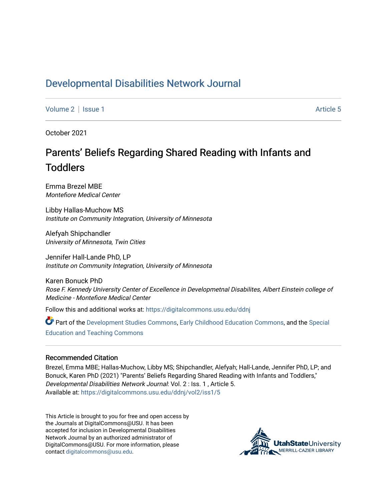# [Developmental Disabilities Network Journal](https://digitalcommons.usu.edu/ddnj)

[Volume 2](https://digitalcommons.usu.edu/ddnj/vol2) | [Issue 1](https://digitalcommons.usu.edu/ddnj/vol2/iss1) Article 5

October 2021

# Parents' Beliefs Regarding Shared Reading with Infants and **Toddlers**

Emma Brezel MBE Montefiore Medical Center

Libby Hallas-Muchow MS Institute on Community Integration, University of Minnesota

Alefyah Shipchandler University of Minnesota, Twin Cities

Jennifer Hall-Lande PhD, LP Institute on Community Integration, University of Minnesota

Karen Bonuck PhD Rose F. Kennedy University Center of Excellence in Developmetnal Disabilites, Albert Einstein college of Medicine - Montefiore Medical Center

Follow this and additional works at: [https://digitalcommons.usu.edu/ddnj](https://digitalcommons.usu.edu/ddnj?utm_source=digitalcommons.usu.edu%2Fddnj%2Fvol2%2Fiss1%2F5&utm_medium=PDF&utm_campaign=PDFCoverPages) 

Part of the [Development Studies Commons,](http://network.bepress.com/hgg/discipline/1422?utm_source=digitalcommons.usu.edu%2Fddnj%2Fvol2%2Fiss1%2F5&utm_medium=PDF&utm_campaign=PDFCoverPages) [Early Childhood Education Commons](http://network.bepress.com/hgg/discipline/1377?utm_source=digitalcommons.usu.edu%2Fddnj%2Fvol2%2Fiss1%2F5&utm_medium=PDF&utm_campaign=PDFCoverPages), and the [Special](http://network.bepress.com/hgg/discipline/801?utm_source=digitalcommons.usu.edu%2Fddnj%2Fvol2%2Fiss1%2F5&utm_medium=PDF&utm_campaign=PDFCoverPages) [Education and Teaching Commons](http://network.bepress.com/hgg/discipline/801?utm_source=digitalcommons.usu.edu%2Fddnj%2Fvol2%2Fiss1%2F5&utm_medium=PDF&utm_campaign=PDFCoverPages) 

#### Recommended Citation

Brezel, Emma MBE; Hallas-Muchow, Libby MS; Shipchandler, Alefyah; Hall-Lande, Jennifer PhD, LP; and Bonuck, Karen PhD (2021) "Parents' Beliefs Regarding Shared Reading with Infants and Toddlers," Developmental Disabilities Network Journal: Vol. 2 : Iss. 1 , Article 5. Available at: [https://digitalcommons.usu.edu/ddnj/vol2/iss1/5](https://digitalcommons.usu.edu/ddnj/vol2/iss1/5?utm_source=digitalcommons.usu.edu%2Fddnj%2Fvol2%2Fiss1%2F5&utm_medium=PDF&utm_campaign=PDFCoverPages) 

This Article is brought to you for free and open access by the Journals at DigitalCommons@USU. It has been accepted for inclusion in Developmental Disabilities Network Journal by an authorized administrator of DigitalCommons@USU. For more information, please contact [digitalcommons@usu.edu](mailto:digitalcommons@usu.edu).

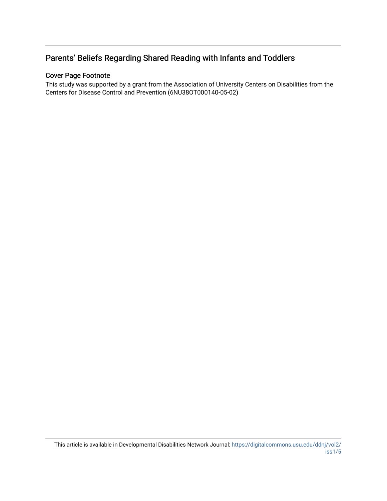# Parents' Beliefs Regarding Shared Reading with Infants and Toddlers

# Cover Page Footnote

This study was supported by a grant from the Association of University Centers on Disabilities from the Centers for Disease Control and Prevention (6NU38OT000140-05-02)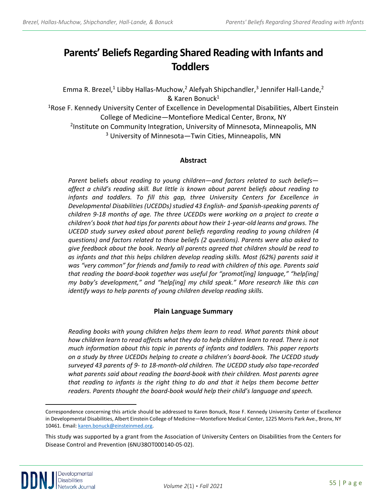# **Parents' Beliefs Regarding Shared Reading with Infants and Toddlers [a](#page-2-0)**

Emma R. Brezel,<sup>1</sup> Libby Hallas-Muchow,<sup>2</sup> Alefyah Shipchandler,<sup>3</sup> Jennifer Hall-Lande,<sup>2</sup> & Karen Bonuck1

1Rose F. Kennedy University Center of Excellence in Developmental Disabilities, Albert Einstein College of Medicine—Montefiore Medical Center, Bronx, NY

2Institute on Community Integration, University of Minnesota, Minneapolis, MN <sup>3</sup> University of Minnesota—Twin Cities, Minneapolis, MN

#### **Abstract**

*Parent* beliefs *about reading to young children—and factors related to such beliefs affect a child's reading skill. But little is known about parent beliefs about reading to infants and toddlers. To fill this gap, three University Centers for Excellence in Developmental Disabilities (UCEDDs) studied 43 English- and Spanish-speaking parents of children 9-18 months of age. The three UCEDDs were working on a project to create a children's book that had tips for parents about how their 1-year-old learns and grows. The UCEDD study survey asked about parent beliefs regarding reading to young children (4 questions) and factors related to those beliefs (2 questions). Parents were also asked to give feedback about the book. Nearly all parents agreed that children should be read to as infants and that this helps children develop reading skills. Most (62%) parents said it was "very common" for friends and family to read with children of this age. Parents said that reading the board-book together was useful for "promot[ing] language," "help[ing] my baby's development," and "help[ing] my child speak." More research like this can identify ways to help parents of young children develop reading skills.*

# **Plain Language Summary**

*Reading books with young children helps them learn to read. What parents think about*  how children learn to read affects what they do to help children learn to read. There is not *much information about this topic in parents of infants and toddlers. This paper reports on a study by three UCEDDs helping to create a children's board-book. The UCEDD study surveyed 43 parents of 9- to 18-month-old children. The UCEDD study also tape-recorded what parents said about reading the board-book with their children. Most parents agree that reading to infants is the right thing to do and that it helps them become better readers. Parents thought the board-book would help their child's language and speech.*

<span id="page-2-0"></span>Correspondence concerning this article should be addressed to Karen Bonuck, Rose F. Kennedy University Center of Excellence in Developmental Disabilities, Albert Einstein College of Medicine—Montefiore Medical Center, 1225 Morris Park Ave., Bronx, NY 10461. Email[: karen.bonuck@einsteinmed.org.](mailto:karen.bonuck@einsteinmed.org) 

This study was supported by a grant from the Association of University Centers on Disabilities from the Centers for Disease Control and Prevention (6NU38OT000140-05-02).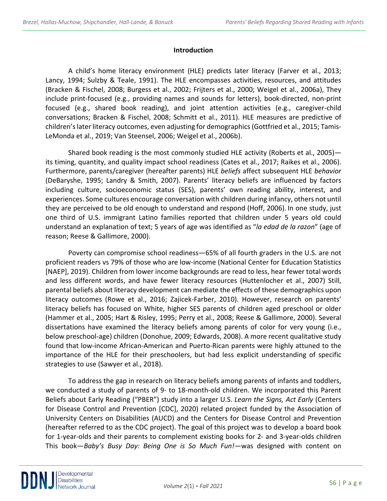#### **Introduction**

A child's home literacy environment (HLE) predicts later literacy (Farver et al., 2013; Lancy, 1994; Sulzby & Teale, 1991). The HLE encompasses activities, resources, and attitudes (Bracken & Fischel, 2008; Burgess et al., 2002; Frijters et al., 2000; Weigel et al., 2006a), They include print-focused (e.g., providing names and sounds for letters), book-directed, non-print focused (e.g., shared book reading), and joint attention activities (e.g., caregiver-child conversations; Bracken & Fischel, 2008; Schmitt et al., 2011). HLE measures are predictive of children's later literacy outcomes, even adjusting for demographics (Gottfried et al., 2015; Tamis-LeMonda et al., 2019; Van Steensel, 2006; Weigel et al., 2006b).

Shared book reading is the most commonly studied HLE activity (Roberts et al., 2005) its timing, quantity, and quality impact school readiness (Cates et al., 2017; Raikes et al., 2006). Furthermore, parents/caregiver (hereafter parents) HLE *beliefs* affect subsequent HLE *behavior* (DeBaryshe, 1995; Landry & Smith, 2007). Parents' literacy beliefs are influenced by factors including culture, socioeconomic status (SES), parents' own reading ability, interest, and experiences. Some cultures encourage conversation with children during infancy, others not until they are perceived to be old enough to understand and respond (Hoff, 2006). In one study, just one third of U.S. immigrant Latino families reported that children under 5 years old could understand an explanation of text; 5 years of age was identified as "*la edad de la razon*" (age of reason; Reese & Gallimore, 2000).

Poverty can compromise school readiness—65% of all fourth graders in the U.S. are not proficient readers vs 79% of those who are low-income (National Center for Education Statistics [NAEP], 2019). Children from lower income backgrounds are read to less, hear fewer total words and less different words, and have fewer literacy resources (Huttenlocher et al., 2007) Still, parental beliefs about literacy development can mediate the effects of these demographics upon literacy outcomes (Rowe et al., 2016; Zajicek-Farber, 2010). However, research on parents' literacy beliefs has focused on White, higher SES parents of children aged preschool or older (Hammer et al., 2005; Hart & Risley, 1995; Perry et al., 2008; Reese & Gallimore, 2000). Several dissertations have examined the literacy beliefs among parents of color for very young (i.e., below preschool-age) children (Donohue, 2009; Edwards, 2008). A more recent qualitative study found that low-income African-American and Puerto-Rican parents were highly attuned to the importance of the HLE for their preschoolers, but had less explicit understanding of specific strategies to use (Sawyer et al., 2018).

To address the gap in research on literacy beliefs among parents of infants and toddlers, we conducted a study of parents of 9- to 18-month-old children. We incorporated this Parent Beliefs about Early Reading ("PBER") study into a larger U.S. *Learn the Signs, Act Early* (Centers for Disease Control and Prevention [CDC], 2020) related project funded by the Association of University Centers on Disabilities (AUCD) and the Centers for Disease Control and Prevention (hereafter referred to as the CDC project). The goal of this project was to develop a board book for 1-year-olds and their parents to complement existing books for 2- and 3-year-olds children This book—*Baby's Busy Day: Being One is So Much Fun!—*was designed with content on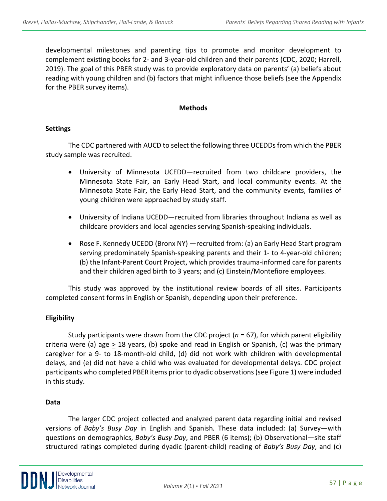developmental milestones and parenting tips to promote and monitor development to complement existing books for 2- and 3-year-old children and their parents (CDC, 2020; Harrell, 2019). The goal of this PBER study was to provide exploratory data on parents' (a) beliefs about reading with young children and (b) factors that might influence those beliefs (see the Appendix for the PBER survey items).

#### **Methods**

#### **Settings**

The CDC partnered with AUCD to select the following three UCEDDs from which the PBER study sample was recruited.

- University of Minnesota UCEDD—recruited from two childcare providers, the Minnesota State Fair, an Early Head Start, and local community events. At the Minnesota State Fair, the Early Head Start, and the community events, families of young children were approached by study staff.
- University of Indiana UCEDD—recruited from libraries throughout Indiana as well as childcare providers and local agencies serving Spanish-speaking individuals.
- Rose F. Kennedy UCEDD (Bronx NY) —recruited from: (a) an Early Head Start program serving predominately Spanish-speaking parents and their 1- to 4-year-old children; (b) the Infant-Parent Court Project, which provides trauma-informed care for parents and their children aged birth to 3 years; and (c) Einstein/Montefiore employees.

This study was approved by the institutional review boards of all sites. Participants completed consent forms in English or Spanish, depending upon their preference.

# **Eligibility**

Study participants were drawn from the CDC project (*n* = 67), for which parent eligibility criteria were (a) age  $\geq$  18 years, (b) spoke and read in English or Spanish, (c) was the primary caregiver for a 9- to 18-month-old child, (d) did not work with children with developmental delays, and (e) did not have a child who was evaluated for developmental delays. CDC project participants who completed PBER items prior to dyadic observations (see Figure 1) were included in this study.

#### **Data**

The larger CDC project collected and analyzed parent data regarding initial and revised versions of *Baby's Busy Day* in English and Spanish*.* These data included: (a) Survey—with questions on demographics, *Baby's Busy Day*, and PBER (6 items); (b) Observational—site staff structured ratings completed during dyadic (parent-child) reading of *Baby's Busy Day*, and (c)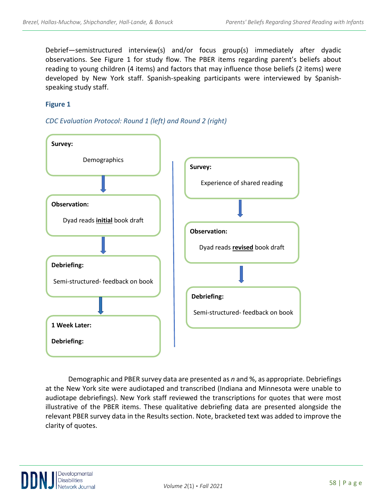Debrief—semistructured interview(s) and/or focus group(s) immediately after dyadic observations. See Figure 1 for study flow. The PBER items regarding parent's beliefs about reading to young children (4 items) and factors that may influence those beliefs (2 items) were developed by New York staff. Spanish-speaking participants were interviewed by Spanishspeaking study staff.

# **Figure 1**





Demographic and PBER survey data are presented as *n* and %, as appropriate. Debriefings at the New York site were audiotaped and transcribed (Indiana and Minnesota were unable to audiotape debriefings). New York staff reviewed the transcriptions for quotes that were most illustrative of the PBER items. These qualitative debriefing data are presented alongside the relevant PBER survey data in the Results section. Note, bracketed text was added to improve the clarity of quotes.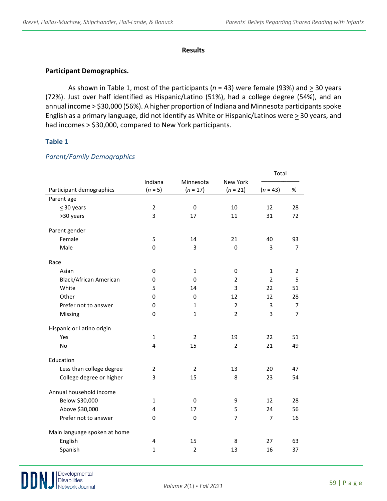#### **Results**

#### **Participant Demographics.**

As shown in Table 1, most of the participants ( $n = 43$ ) were female (93%) and  $\geq 30$  years (72%). Just over half identified as Hispanic/Latino (51%), had a college degree (54%), and an annual income > \$30,000 (56%). A higher proportion of Indiana and Minnesota participants spoke English as a primary language, did not identify as White or Hispanic/Latinos were  $\geq$  30 years, and had incomes > \$30,000, compared to New York participants.

#### **Table 1**

|                              |                      |                         |                               | Total          |                |
|------------------------------|----------------------|-------------------------|-------------------------------|----------------|----------------|
| Participant demographics     | Indiana<br>$(n = 5)$ | Minnesota<br>$(n = 17)$ | <b>New York</b><br>$(n = 21)$ | $(n = 43)$     | %              |
| Parent age                   |                      |                         |                               |                |                |
| $\leq$ 30 years              | $\overline{2}$       | 0                       | 10                            | 12             | 28             |
| >30 years                    | 3                    | 17                      | 11                            | 31             | 72             |
| Parent gender                |                      |                         |                               |                |                |
| Female                       | 5                    | 14                      | 21                            | 40             | 93             |
| Male                         | 0                    | 3                       | 0                             | 3              | $\overline{7}$ |
| Race                         |                      |                         |                               |                |                |
| Asian                        | 0                    | $\mathbf{1}$            | 0                             | $\mathbf{1}$   | $\overline{2}$ |
| Black/African American       | 0                    | 0                       | $\overline{2}$                | $\overline{2}$ | 5              |
| White                        | 5                    | 14                      | 3                             | 22             | 51             |
| Other                        | 0                    | 0                       | 12                            | 12             | 28             |
| Prefer not to answer         | 0                    | $\mathbf{1}$            | $\overline{2}$                | 3              | $\overline{7}$ |
| Missing                      | 0                    | $\mathbf{1}$            | $\overline{2}$                | 3              | $\overline{7}$ |
| Hispanic or Latino origin    |                      |                         |                               |                |                |
| Yes                          | $\mathbf{1}$         | $\overline{2}$          | 19                            | 22             | 51             |
| No                           | 4                    | 15                      | $\overline{2}$                | 21             | 49             |
| Education                    |                      |                         |                               |                |                |
| Less than college degree     | $\overline{2}$       | $\overline{2}$          | 13                            | 20             | 47             |
| College degree or higher     | 3                    | 15                      | 8                             | 23             | 54             |
| Annual household income      |                      |                         |                               |                |                |
| Below \$30,000               | $\mathbf{1}$         | 0                       | 9                             | 12             | 28             |
| Above \$30,000               | 4                    | 17                      | 5                             | 24             | 56             |
| Prefer not to answer         | 0                    | 0                       | $\overline{7}$                | $\overline{7}$ | 16             |
| Main language spoken at home |                      |                         |                               |                |                |
| English                      | $\overline{4}$       | 15                      | 8                             | 27             | 63             |
| Spanish                      | $\mathbf{1}$         | $\overline{2}$          | 13                            | 16             | 37             |

#### *Parent/Family Demographics*

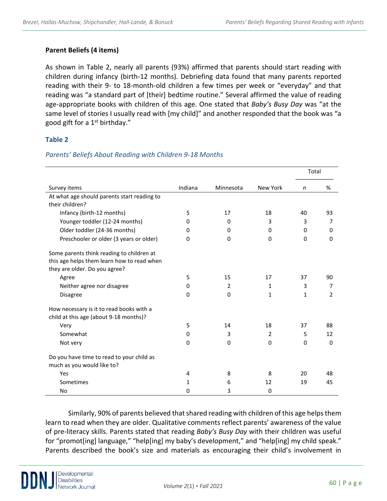#### **Parent Beliefs (4 items)**

As shown in Table 2, nearly all parents (93%) affirmed that parents should start reading with children during infancy (birth-12 months). Debriefing data found that many parents reported reading with their 9- to 18-month-old children a few times per week or "everyday" and that reading was "a standard part of [their] bedtime routine." Several affirmed the value of reading age-appropriate books with children of this age. One stated that *Baby's Busy Day* was "at the same level of stories I usually read with [my child]" and another responded that the book was "a good gift for a  $1<sup>st</sup>$  birthday."

# **Table 2**

|                                                                                                                          |          |           |              |              | Total         |  |
|--------------------------------------------------------------------------------------------------------------------------|----------|-----------|--------------|--------------|---------------|--|
| Survey items                                                                                                             | Indiana  | Minnesota | New York     | n            | %             |  |
| At what age should parents start reading to<br>their children?                                                           |          |           |              |              |               |  |
| Infancy (birth-12 months)                                                                                                | 5        | 17        | 18           | 40           | 93            |  |
| Younger toddler (12-24 months)                                                                                           | 0        | 0         | 3            | 3            | 7             |  |
| Older toddler (24-36 months)                                                                                             | $\Omega$ | 0         | $\Omega$     | $\Omega$     | 0             |  |
| Preschooler or older (3 years or older)                                                                                  | 0        | $\Omega$  | $\Omega$     | $\Omega$     | $\Omega$      |  |
| Some parents think reading to children at<br>this age helps them learn how to read when<br>they are older. Do you agree? |          |           |              |              |               |  |
| Agree                                                                                                                    | 5        | 15        | 17           | 37           | 90            |  |
| Neither agree nor disagree                                                                                               | 0        | 2         | 1            | 3            | 7             |  |
| <b>Disagree</b>                                                                                                          | $\Omega$ | $\Omega$  | $\mathbf{1}$ | $\mathbf{1}$ | $\mathcal{P}$ |  |
| How necessary is it to read books with a<br>child at this age (about 9-18 months)?                                       |          |           |              |              |               |  |
| Very                                                                                                                     | 5        | 14        | 18           | 37           | 88            |  |
| Somewhat                                                                                                                 | 0        | 3         | 2            | 5            | 12            |  |
| Not very                                                                                                                 | $\Omega$ | $\Omega$  | $\Omega$     | $\Omega$     | $\Omega$      |  |
| Do you have time to read to your child as<br>much as you would like to?                                                  |          |           |              |              |               |  |
| Yes                                                                                                                      | 4        | 8         | 8            | 20           | 48            |  |
| Sometimes                                                                                                                | 1        | 6         | 12           | 19           | 45            |  |
| No                                                                                                                       | 0        | 3         | $\Omega$     |              |               |  |

#### *Parents' Beliefs About Reading with Children 9-18 Months*

Similarly, 90% of parents believed that shared reading with children of this age helps them learn to read when they are older. Qualitative comments reflect parents' awareness of the value of pre-literacy skills. Parents stated that reading *Baby's Busy Day* with their children was useful for "promot[ing] language," "help[ing] my baby's development," and "help[ing] my child speak." Parents described the book's size and materials as encouraging their child's involvement in

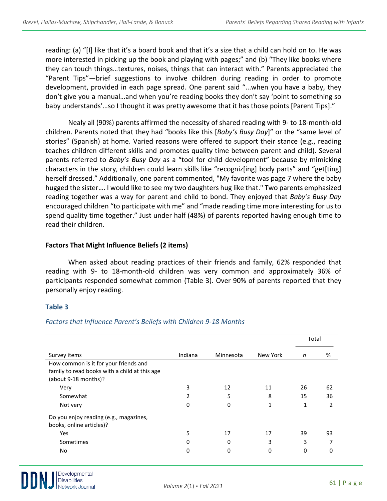reading: (a) "[I] like that it's a board book and that it's a size that a child can hold on to. He was more interested in picking up the book and playing with pages;" and (b) "They like books where they can touch things…textures, noises, things that can interact with." Parents appreciated the "Parent Tips"—brief suggestions to involve children during reading in order to promote development, provided in each page spread. One parent said "...when you have a baby, they don't give you a manual…and when you're reading books they don't say 'point to something so baby understands'...so I thought it was pretty awesome that it has those points [Parent Tips]."

Nealy all (90%) parents affirmed the necessity of shared reading with 9- to 18-month-old children. Parents noted that they had "books like this [*Baby's Busy Day*]" or the "same level of stories" (Spanish) at home. Varied reasons were offered to support their stance (e.g., reading teaches children different skills and promotes quality time between parent and child). Several parents referred to *Baby's Busy Day* as a "tool for child development" because by mimicking characters in the story, children could learn skills like "recogniz[ing] body parts" and "get[ting] herself dressed." Additionally, one parent commented, "My favorite was page 7 where the baby hugged the sister…. I would like to see my two daughters hug like that." Two parents emphasized reading together was a way for parent and child to bond. They enjoyed that *Baby's Busy Day* encouraged children "to participate with me" and "made reading time more interesting for us to spend quality time together." Just under half (48%) of parents reported having enough time to read their children.

# **Factors That Might Influence Beliefs (2 items)**

When asked about reading practices of their friends and family, 62% responded that reading with 9- to 18-month-old children was very common and approximately 36% of participants responded somewhat common (Table 3). Over 90% of parents reported that they personally enjoy reading.

# **Table 3**

|                                               |         |           |          | Total |    |
|-----------------------------------------------|---------|-----------|----------|-------|----|
| Survey items                                  | Indiana | Minnesota | New York | n     | %  |
| How common is it for your friends and         |         |           |          |       |    |
| family to read books with a child at this age |         |           |          |       |    |
| (about 9-18 months)?                          |         |           |          |       |    |
| Very                                          | 3       | 12        | 11       | 26    | 62 |
| Somewhat                                      |         | 5         | 8        | 15    | 36 |
| Not very                                      | 0       | 0         |          | 1     | 2  |
| Do you enjoy reading (e.g., magazines,        |         |           |          |       |    |
| books, online articles)?                      |         |           |          |       |    |
| Yes                                           |         | 17        | 17       | 39    | 93 |
| Sometimes                                     | 0       | 0         | 3        | 3     |    |
| No                                            | 0       | 0         | 0        | 0     | 0  |

# *Factors that Influence Parent's Beliefs with Children 9-18 Months*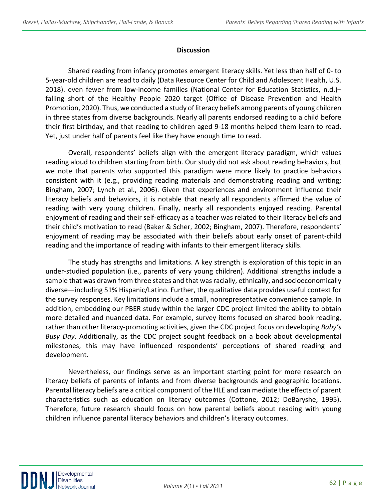#### **Discussion**

Shared reading from infancy promotes emergent literacy skills. Yet less than half of 0- to 5-year-old children are read to daily (Data Resource Center for Child and Adolescent Health, U.S. 2018). even fewer from low-income families (National Center for Education Statistics, n.d.)– falling short of the Healthy People 2020 target (Office of Disease Prevention and Health Promotion, 2020). Thus, we conducted a study of literacy beliefs among parents of young children in three states from diverse backgrounds. Nearly all parents endorsed reading to a child before their first birthday, and that reading to children aged 9-18 months helped them learn to read. Yet, just under half of parents feel like they have enough time to read.

Overall, respondents' beliefs align with the emergent literacy paradigm, which values reading aloud to children starting from birth. Our study did not ask about reading behaviors, but we note that parents who supported this paradigm were more likely to practice behaviors consistent with it (e.g., providing reading materials and demonstrating reading and writing; Bingham, 2007; Lynch et al., 2006). Given that experiences and environment influence their literacy beliefs and behaviors, it is notable that nearly all respondents affirmed the value of reading with very young children. Finally, nearly all respondents enjoyed reading. Parental enjoyment of reading and their self-efficacy as a teacher was related to their literacy beliefs and their child's motivation to read (Baker & Scher, 2002; Bingham, 2007). Therefore, respondents' enjoyment of reading may be associated with their beliefs about early onset of parent-child reading and the importance of reading with infants to their emergent literacy skills.

The study has strengths and limitations. A key strength is exploration of this topic in an under-studied population (i.e., parents of very young children). Additional strengths include a sample that was drawn from three states and that was racially, ethnically, and socioeconomically diverse—including 51% Hispanic/Latino. Further, the qualitative data provides useful context for the survey responses. Key limitations include a small, nonrepresentative convenience sample. In addition, embedding our PBER study within the larger CDC project limited the ability to obtain more detailed and nuanced data. For example, survey items focused on shared book reading, rather than other literacy-promoting activities, given the CDC project focus on developing *Baby's Busy Day*. Additionally, as the CDC project sought feedback on a book about developmental milestones, this may have influenced respondents' perceptions of shared reading and development.

Nevertheless, our findings serve as an important starting point for more research on literacy beliefs of parents of infants and from diverse backgrounds and geographic locations. Parental literacy beliefs are a critical component of the HLE and can mediate the effects of parent characteristics such as education on literacy outcomes (Cottone, 2012; DeBaryshe, 1995). Therefore, future research should focus on how parental beliefs about reading with young children influence parental literacy behaviors and children's literacy outcomes.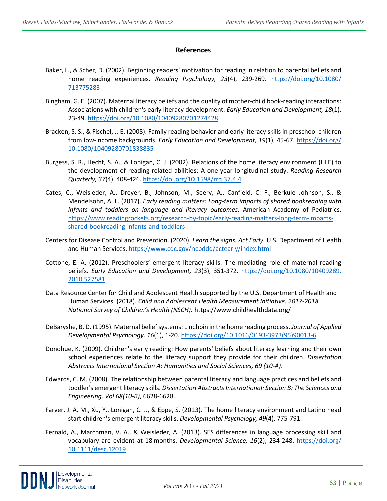#### **References**

- Baker, L., & Scher, D. (2002). Beginning readers' motivation for reading in relation to parental beliefs and home reading experiences. *Reading Psychology, 23*(4), 239-269. [https://doi.org/10.1080/](https://doi.org/10.1080/%20713775283)  [713775283](https://doi.org/10.1080/%20713775283)
- Bingham, G. E. (2007). Maternal literacy beliefs and the quality of mother-child book-reading interactions: Associations with children's early literacy development. *Early Education and Development, 18*(1), 23-49.<https://doi.org/10.1080/10409280701274428>
- Bracken, S. S., & Fischel, J. E. (2008). Family reading behavior and early literacy skills in preschool children from low-income backgrounds. *Early Education and Development, 19*(1), 45-67. [https://doi.org/](https://doi.org/%2010.1080/10409280701838835)  [10.1080/10409280701838835](https://doi.org/%2010.1080/10409280701838835)
- Burgess, S. R., Hecht, S. A., & Lonigan, C. J. (2002). Relations of the home literacy environment (HLE) to the development of reading-related abilities: A one-year longitudinal study. *Reading Research Quarterly, 37*(4), 408-426[. https://doi.org/10.1598/rrq.37.4.4](https://doi.org/10.1598/rrq.37.4.4)
- Cates, C., Weisleder, A., Dreyer, B., Johnson, M., Seery, A., Canfield, C. F., Berkule Johnson, S., & Mendelsohn, A. L. (2017). *Early reading matters: Long-term impacts of shared bookreading with infants and toddlers on language and literacy outcomes*. American Academy of Pediatrics. [https://www.readingrockets.org/research-by-topic/early-reading-matters-long-term-impacts](https://www.readingrockets.org/research-by-topic/early-reading-matters-long-term-impacts-shared-bookreading-infants-and-toddlers)[shared-bookreading-infants-and-toddlers](https://www.readingrockets.org/research-by-topic/early-reading-matters-long-term-impacts-shared-bookreading-infants-and-toddlers)
- Centers for Disease Control and Prevention. (2020). *Learn the signs. Act Early.* U.S. Department of Health and Human Services.<https://www.cdc.gov/ncbddd/actearly/index.html>
- Cottone, E. A. (2012). Preschoolers' emergent literacy skills: The mediating role of maternal reading beliefs. *Early Education and Development, 23*(3), 351-372. [https://doi.org/10.1080/10409289.](https://doi.org/10.1080/10409289.%202010.527581)  [2010.527581](https://doi.org/10.1080/10409289.%202010.527581)
- Data Resource Center for Child and Adolescent Health supported by the U.S. Department of Health and Human Services. (2018). *Child and Adolescent Health Measurement Initiative. 2017-2018 National Survey of Children's Health (NSCH).* https://www.childhealthdata.org/
- DeBaryshe, B. D. (1995). Maternal belief systems: Linchpin in the home reading process. *Journal of Applied Developmental Psychology, 16*(1), 1-20[. https://doi.org/10.1016/0193-3973\(95\)90013-6](https://doi.org/10.1016/0193-3973(95)90013-6)
- Donohue, K. (2009). Children's early reading: How parents' beliefs about literacy learning and their own school experiences relate to the literacy support they provide for their children. *Dissertation Abstracts International Section A: Humanities and Social Sciences, 69 (10-A)*.
- Edwards, C. M. (2008). The relationship between parental literacy and language practices and beliefs and toddler's emergent literacy skills. *Dissertation Abstracts International: Section B: The Sciences and Engineering, Vol 68(10-B)*, 6628-6628.
- Farver, J. A. M., Xu, Y., Lonigan, C. J., & Eppe, S. (2013). The home literacy environment and Latino head start children's emergent literacy skills. *Developmental Psychology, 49*(4), 775-791.
- Fernald, A., Marchman, V. A., & Weisleder, A. (2013). SES differences in language processing skill and vocabulary are evident at 18 months. *Developmental Science, 16*(2), 234-248. [https://doi.org/](https://doi.org/%2010.1111/desc.12019)  [10.1111/desc.12019](https://doi.org/%2010.1111/desc.12019)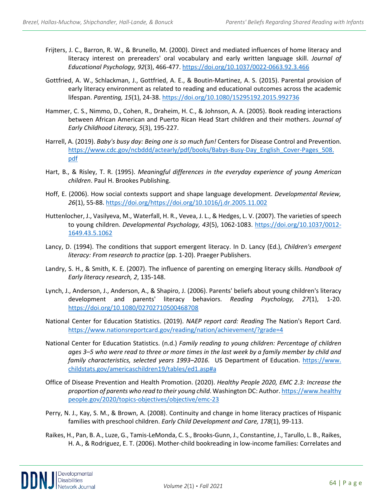- Frijters, J. C., Barron, R. W., & Brunello, M. (2000). Direct and mediated influences of home literacy and literacy interest on prereaders' oral vocabulary and early written language skill. *Journal of Educational Psychology, 92*(3), 466-477[. https://doi.org/10.1037/0022-0663.92.3.466](https://doi.org/10.1037/0022-0663.92.3.466)
- Gottfried, A. W., Schlackman, J., Gottfried, A. E., & Boutin-Martinez, A. S. (2015). Parental provision of early literacy environment as related to reading and educational outcomes across the academic lifespan. *Parenting, 15*(1), 24-38[. https://doi.org/10.1080/15295192.2015.992736](https://doi.org/10.1080/15295192.2015.992736)
- Hammer, C. S., Nimmo, D., Cohen, R., Draheim, H. C., & Johnson, A. A. (2005). Book reading interactions between African American and Puerto Rican Head Start children and their mothers. *Journal of Early Childhood Literacy, 5*(3), 195-227.
- Harrell, A. (2019). *Baby's busy day: Being one is so much fun!* Centers for Disease Control and Prevention. https://www.cdc.gov/ncbddd/actearly/pdf/books/Babys-Busy-Day\_English\_Cover-Pages\_508. [pdf](https://www.cdc.gov/ncbddd/actearly/pdf/books/Babys-Busy-Day_English_Cover-Pages_508.%20pdf)
- Hart, B., & Risley, T. R. (1995). *Meaningful differences in the everyday experience of young American children*. Paul H. Brookes Publishing.
- Hoff, E. (2006). How social contexts support and shape language development. *Developmental Review, 26*(1), 55-88[. https://doi.org/https://doi.org/10.1016/j.dr.2005.11.002](https://doi.org/https:/doi.org/10.1016/j.dr.2005.11.002)
- Huttenlocher, J., Vasilyeva, M., Waterfall, H. R., Vevea, J. L., & Hedges, L. V. (2007). The varieties of speech to young children. *Developmental Psychology, 43*(5), 1062-1083. [https://doi.org/10.1037/0012-](https://doi.org/10.1037/0012-1649.43.5.1062) [1649.43.5.1062](https://doi.org/10.1037/0012-1649.43.5.1062)
- Lancy, D. (1994). The conditions that support emergent literacy. In D. Lancy (Ed.), *Children's emergent literacy: From research to practice* (pp. 1-20). Praeger Publishers.
- Landry, S. H., & Smith, K. E. (2007). The influence of parenting on emerging literacy skills. *Handbook of Early literacy research, 2*, 135-148.
- Lynch, J., Anderson, J., Anderson, A., & Shapiro, J. (2006). Parents' beliefs about young children's literacy development and parents' literacy behaviors. *Reading Psychology, 27*(1), 1-20. <https://doi.org/10.1080/02702710500468708>
- National Center for Education Statistics. (2019). *NAEP report card: Reading* The Nation's Report Card. <https://www.nationsreportcard.gov/reading/nation/achievement/?grade=4>
- National Center for Education Statistics. (n.d.) *Family reading to young children: Percentage of children ages 3–5 who were read to three or more times in the last week by a family member by child and family characteristics, selected years 1993–2016.* US Department of Education. https://www. childstats.gov/americaschildren19/tables/ed1.asp#a
- Office of Disease Prevention and Health Promotion. (2020). *Healthy People 2020, EMC 2.3: Increase the proportion of parents who read to their young child*. Washington DC: Author. https://www.healthy people.gov/2020/topics-objectives/objective/emc-23
- Perry, N. J., Kay, S. M., & Brown, A. (2008). Continuity and change in home literacy practices of Hispanic families with preschool children. *Early Child Development and Care, 178*(1), 99-113.
- Raikes, H., Pan, B. A., Luze, G., Tamis-LeMonda, C. S., Brooks-Gunn, J., Constantine, J., Tarullo, L. B., Raikes, H. A., & Rodriguez, E. T. (2006). Mother-child bookreading in low-income families: Correlates and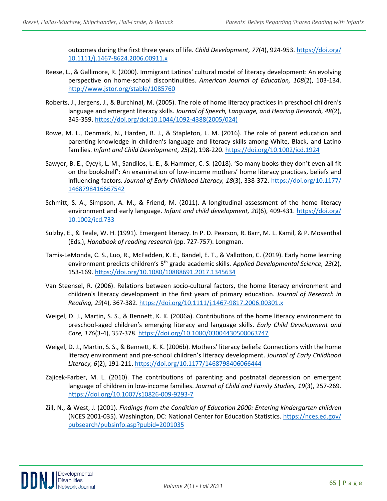outcomes during the first three years of life. *Child Development, 77*(4), 924-953. [https://doi.org/](https://doi.org/%2010.1111/j.1467-8624.2006.00911.x)  [10.1111/j.1467-8624.2006.00911.x](https://doi.org/%2010.1111/j.1467-8624.2006.00911.x)

- Reese, L., & Gallimore, R. (2000). Immigrant Latinos' cultural model of literacy development: An evolving perspective on home-school discontinuities. *American Journal of Education, 108*(2), 103-134. <http://www.jstor.org/stable/1085760>
- Roberts, J., Jergens, J., & Burchinal, M. (2005). The role of home literacy practices in preschool children's language and emergent literacy skills. *Journal of Speech, Language, and Hearing Research, 48*(2), 345-359. [https://doi.org/doi:10.1044/1092-4388\(2005/024\)](https://doi.org/doi:10.1044/1092-4388(2005/024))
- Rowe, M. L., Denmark, N., Harden, B. J., & Stapleton, L. M. (2016). The role of parent education and parenting knowledge in children's language and literacy skills among White, Black, and Latino families. *Infant and Child Development, 25*(2), 198-220[. https://doi.org/10.1002/icd.1924](https://doi.org/10.1002/icd.1924)
- Sawyer, B. E., Cycyk, L. M., Sandilos, L. E., & Hammer, C. S. (2018). 'So many books they don't even all fit on the bookshelf': An examination of low-income mothers' home literacy practices, beliefs and influencing factors. *Journal of Early Childhood Literacy, 18*(3), 338-372. [https://doi.org/10.1177/](https://doi.org/10.1177/%201468798416667542)  [1468798416667542](https://doi.org/10.1177/%201468798416667542)
- Schmitt, S. A., Simpson, A. M., & Friend, M. (2011). A longitudinal assessment of the home literacy environment and early language. *Infant and child development, 20*(6), 409-431. [https://doi.org/](https://doi.org/%2010.1002/icd.733)  [10.1002/icd.733](https://doi.org/%2010.1002/icd.733)
- Sulzby, E., & Teale, W. H. (1991). Emergent literacy. In P. D. Pearson, R. Barr, M. L. Kamil, & P. Mosenthal (Eds.), *Handbook of reading research* (pp. 727-757). Longman.
- Tamis-LeMonda, C. S., Luo, R., McFadden, K. E., Bandel, E. T., & Vallotton, C. (2019). Early home learning environment predicts children's 5th grade academic skills. *Applied Developmental Science, 23*(2), 153-169.<https://doi.org/10.1080/10888691.2017.1345634>
- Van Steensel, R. (2006). Relations between socio-cultural factors, the home literacy environment and children's literacy development in the first years of primary education. *Journal of Research in Reading, 29*(4), 367-382.<https://doi.org/10.1111/j.1467-9817.2006.00301.x>
- Weigel, D. J., Martin, S. S., & Bennett, K. K. (2006a). Contributions of the home literacy environment to preschool-aged children's emerging literacy and language skills. *Early Child Development and Care, 176*(3-4), 357-378.<https://doi.org/10.1080/03004430500063747>
- Weigel, D. J., Martin, S. S., & Bennett, K. K. (2006b). Mothers' literacy beliefs: Connections with the home literacy environment and pre-school children's literacy development. *Journal of Early Childhood Literacy, 6*(2), 191-211.<https://doi.org/10.1177/1468798406066444>
- Zajicek-Farber, M. L. (2010). The contributions of parenting and postnatal depression on emergent language of children in low-income families. *Journal of Child and Family Studies, 19*(3), 257-269. <https://doi.org/10.1007/s10826-009-9293-7>
- Zill, N., & West, J. (2001). *Findings from the Condition of Education 2000: Entering kindergarten children* (NCES 2001-035). Washington, DC: National Center for Education Statistics. [https://nces.ed.gov/](https://nces.ed.gov/%20pubsearch/pubsinfo.asp?pubid=2001035)  [pubsearch/pubsinfo.asp?pubid=2001035](https://nces.ed.gov/%20pubsearch/pubsinfo.asp?pubid=2001035)